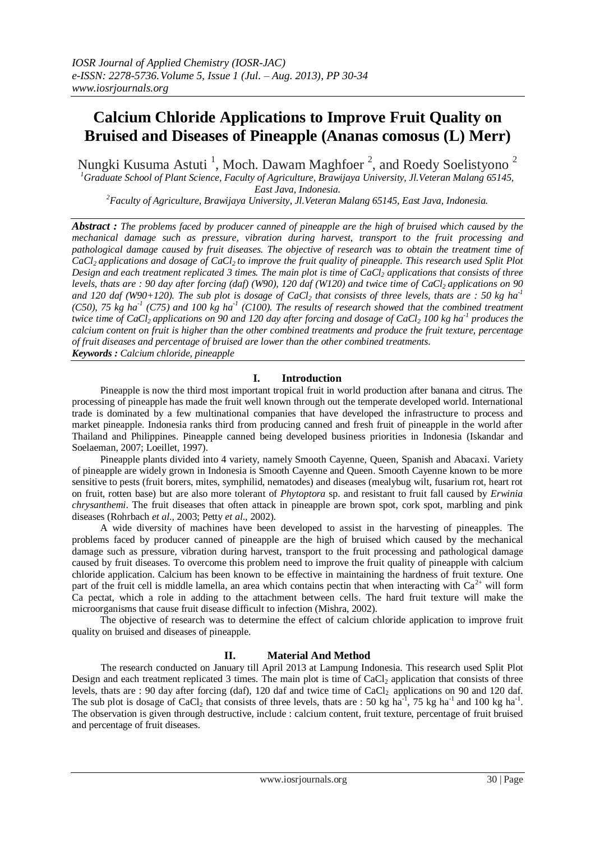# **Calcium Chloride Applications to Improve Fruit Quality on Bruised and Diseases of Pineapple (Ananas comosus (L) Merr)**

Nungki Kusuma Astuti  $^1$ , Moch. Dawam Maghfoer  $^2$ , and Roedy Soelistyono  $^2$ *<sup>1</sup>Graduate School of Plant Science, Faculty of Agriculture, Brawijaya University, Jl.Veteran Malang 65145, East Java, Indonesia.*

*<sup>2</sup>Faculty of Agriculture, Brawijaya University, Jl.Veteran Malang 65145, East Java, Indonesia.*

*Abstract : The problems faced by producer canned of pineapple are the high of bruised which caused by the mechanical damage such as pressure, vibration during harvest, transport to the fruit processing and pathological damage caused by fruit diseases. The objective of research was to obtain the treatment time of CaCl2 applications and dosage of CaCl2 to improve the fruit quality of pineapple. This research used Split Plot Design and each treatment replicated 3 times. The main plot is time of CaCl<sup>2</sup> applications that consists of three levels, thats are : 90 day after forcing (daf) (W90), 120 daf (W120) and twice time of CaCl2 applications on 90 and 120 daf (W90+120). The sub plot is dosage of CaCl<sup>2</sup> that consists of three levels, thats are : 50 kg ha-1 (C50), 75 kg ha-1 (C75) and 100 kg ha-1 (C100). The results of research showed that the combined treatment twice time of CaCl2 applications on 90 and 120 day after forcing and dosage of CaCl<sup>2</sup> 100 kg ha-1 produces the calcium content on fruit is higher than the other combined treatments and produce the fruit texture, percentage of fruit diseases and percentage of bruised are lower than the other combined treatments. Keywords : Calcium chloride, pineapple*

# **I. Introduction**

Pineapple is now the third most important tropical fruit in world production after banana and citrus. The processing of pineapple has made the fruit well known through out the temperate developed world. International trade is dominated by a few multinational companies that have developed the infrastructure to process and market pineapple. Indonesia ranks third from producing canned and fresh fruit of pineapple in the world after Thailand and Philippines. Pineapple canned being developed business priorities in Indonesia (Iskandar and Soelaeman, 2007; Loeillet, 1997).

Pineapple plants divided into 4 variety, namely Smooth Cayenne, Queen, Spanish and Abacaxi. Variety of pineapple are widely grown in Indonesia is Smooth Cayenne and Queen. Smooth Cayenne known to be more sensitive to pests (fruit borers, mites, symphilid, nematodes) and diseases (mealybug wilt, fusarium rot, heart rot on fruit, rotten base) but are also more tolerant of *Phytoptora* sp. and resistant to fruit fall caused by *Erwinia chrysanthemi*. The fruit diseases that often attack in pineapple are brown spot, cork spot, marbling and pink diseases (Rohrbach *et al*., 2003; Petty *et al*., 2002).

A wide diversity of machines have been developed to assist in the harvesting of pineapples. The problems faced by producer canned of pineapple are the high of bruised which caused by the mechanical damage such as pressure, vibration during harvest, transport to the fruit processing and pathological damage caused by fruit diseases. To overcome this problem need to improve the fruit quality of pineapple with calcium chloride application. Calcium has been known to be effective in maintaining the hardness of fruit texture. One part of the fruit cell is middle lamella, an area which contains pectin that when interacting with  $Ca^{2+}$  will form Ca pectat, which a role in adding to the attachment between cells. The hard fruit texture will make the microorganisms that cause fruit disease difficult to infection (Mishra, 2002).

The objective of research was to determine the effect of calcium chloride application to improve fruit quality on bruised and diseases of pineapple.

# **II. Material And Method**

The research conducted on January till April 2013 at Lampung Indonesia. This research used Split Plot Design and each treatment replicated 3 times. The main plot is time of CaCl<sub>2</sub> application that consists of three levels, thats are : 90 day after forcing (daf), 120 daf and twice time of CaCl<sub>2</sub> applications on 90 and 120 daf. The sub plot is dosage of CaCl<sub>2</sub> that consists of three levels, thats are : 50 kg ha<sup>-1</sup>, 75 kg ha<sup>-1</sup> and 100 kg ha<sup>-1</sup>. The observation is given through destructive, include : calcium content, fruit texture, percentage of fruit bruised and percentage of fruit diseases.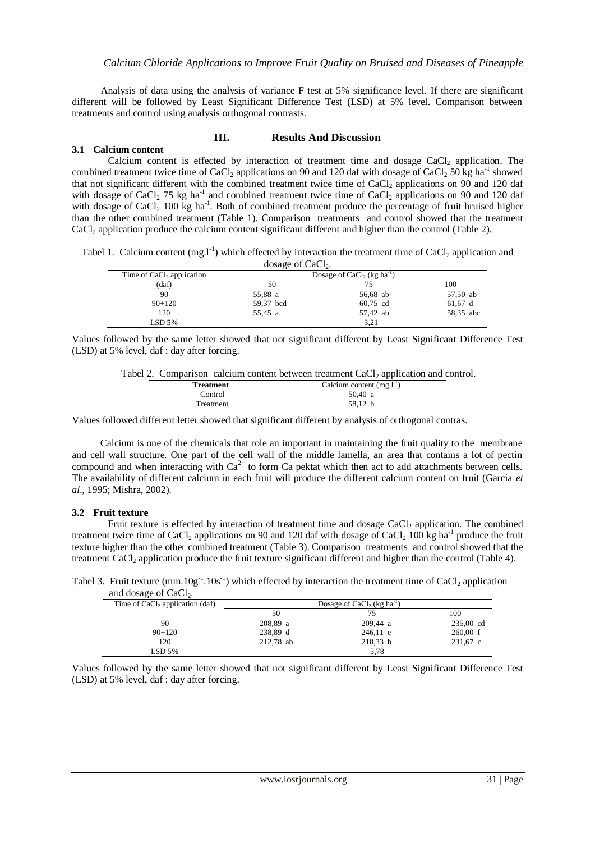Analysis of data using the analysis of variance F test at 5% significance level. If there are significant different will be followed by Least Significant Difference Test (LSD) at 5% level. Comparison between treatments and control using analysis orthogonal contrasts.

## **III. Results And Discussion**

## **3.1 Calcium content**

Calcium content is effected by interaction of treatment time and dosage  $CaCl<sub>2</sub>$  application. The combined treatment twice time of CaCl<sub>2</sub> applications on 90 and 120 daf with dosage of CaCl<sub>2</sub> 50 kg ha<sup>-1</sup> showed that not significant different with the combined treatment twice time of CaCl<sub>2</sub> applications on 90 and 120 daf with dosage of CaCl<sub>2</sub> 75 kg ha<sup>-1</sup> and combined treatment twice time of CaCl<sub>2</sub> applications on 90 and 120 daf with dosage of CaCl<sub>2</sub> 100 kg ha<sup>-1</sup>. Both of combined treatment produce the percentage of fruit bruised higher than the other combined treatment (Table 1). Comparison treatments and control showed that the treatment CaCl<sup>2</sup> application produce the calcium content significant different and higher than the control (Table 2).

Tabel 1. Calcium content  $(mg.1^{-1})$  which effected by interaction the treatment time of CaCl<sub>2</sub> application and  $\frac{d}{d}$ general of  $C_2C_1$ 

| abage of CaCp.                        |           |                                                    |           |
|---------------------------------------|-----------|----------------------------------------------------|-----------|
| Time of CaCl <sub>2</sub> application |           | Dosage of CaCl <sub>2</sub> (kg ha <sup>-1</sup> ) |           |
| (daf)                                 | 50        | 75                                                 | 100       |
| 90                                    | 55,88 a   | 56,68 ab                                           | 57,50 ab  |
| $90+120$                              | 59,37 bcd | 60,75 cd                                           | $61,67$ d |
| 120                                   | 55.45 a   | 57.42 ab                                           | 58,35 abc |
| LSD 5%                                |           | 3.21                                               |           |

Values followed by the same letter showed that not significant different by Least Significant Difference Test (LSD) at 5% level, daf : day after forcing.

|  |                  | Tabel 2. Comparison calcium content between treatment $CaCl2$ application and control. |  |
|--|------------------|----------------------------------------------------------------------------------------|--|
|  | <b>Treatment</b> | Calcium content $(mg, l-1)$                                                            |  |
|  | Control          | 50.40 a                                                                                |  |
|  | Treatment        | 58.12 b                                                                                |  |

Values followed different letter showed that significant different by analysis of orthogonal contras.

Calcium is one of the chemicals that role an important in maintaining the fruit quality to the membrane and cell wall structure. One part of the cell wall of the middle lamella, an area that contains a lot of pectin compound and when interacting with  $Ca^{2+}$  to form Ca pektat which then act to add attachments between cells. The availability of different calcium in each fruit will produce the different calcium content on fruit (Garcia *et al*., 1995; Mishra, 2002).

#### **3.2 Fruit texture**

Fruit texture is effected by interaction of treatment time and dosage CaCl<sub>2</sub> application. The combined treatment twice time of CaCl<sub>2</sub> applications on 90 and 120 daf with dosage of CaCl<sub>2</sub> 100 kg ha<sup>-1</sup> produce the fruit texture higher than the other combined treatment (Table 3). Comparison treatments and control showed that the treatment CaCl<sub>2</sub> application produce the fruit texture significant different and higher than the control (Table 4).

Tabel 3. Fruit texture  $(mm.10g^{-1}.10s^{-1})$  which effected by interaction the treatment time of CaCl<sub>2</sub> application and dosage of  $CaCl<sub>2</sub>$ .

| Time of $CaCl2$ application (daf) |           | Dosage of CaCl <sub>2</sub> (kg ha <sup>-1</sup> ) |                    |
|-----------------------------------|-----------|----------------------------------------------------|--------------------|
|                                   | 50        |                                                    | 100                |
| 90                                | 208,89 a  | 209.44 a                                           | 235,00 cd          |
| $90+120$                          | 238,89 d  | $246,11$ e                                         | $260,00 \text{ f}$ |
| 120                               | 212.78 ab | 218.33 b                                           | 231,67 c           |
| LSD 5%                            |           | 5.78                                               |                    |

Values followed by the same letter showed that not significant different by Least Significant Difference Test (LSD) at 5% level, daf : day after forcing.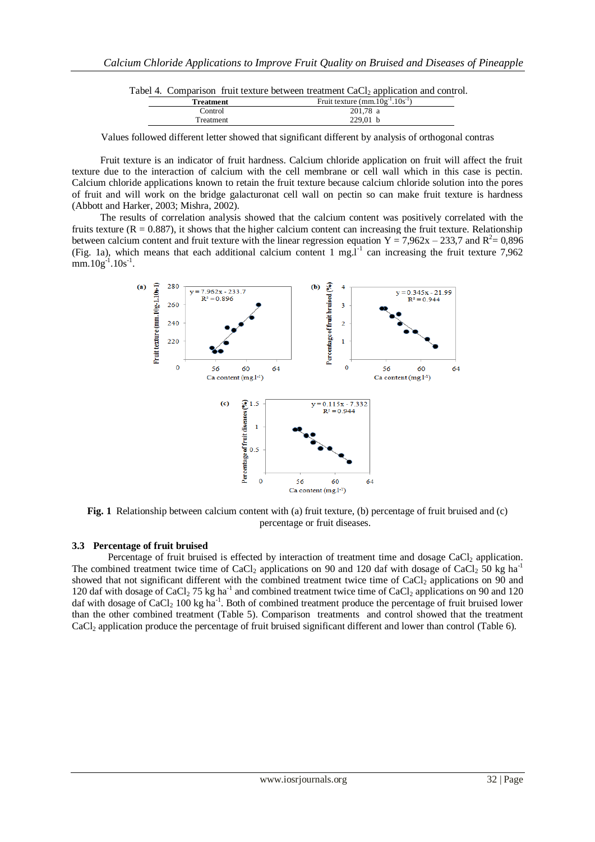|           | Tabel 4. Comparison fruit texture between treatment CaCl <sub>2</sub> application and control. |                                        |  |
|-----------|------------------------------------------------------------------------------------------------|----------------------------------------|--|
| Treatment |                                                                                                | Fruit texture $(mm.10g^{-1}.10s^{-1})$ |  |
| Control   |                                                                                                | $201.78$ a                             |  |

Treatment 229,01 b Values followed different letter showed that significant different by analysis of orthogonal contras

Fruit texture is an indicator of fruit hardness. Calcium chloride application on fruit will affect the fruit texture due to the interaction of calcium with the cell membrane or cell wall which in this case is pectin. Calcium chloride applications known to retain the fruit texture because calcium chloride solution into the pores of fruit and will work on the bridge galacturonat cell wall on pectin so can make fruit texture is hardness (Abbott and Harker, 2003; Mishra, 2002).

The results of correlation analysis showed that the calcium content was positively correlated with the fruits texture ( $R = 0.887$ ), it shows that the higher calcium content can increasing the fruit texture. Relationship between calcium content and fruit texture with the linear regression equation  $Y = 7,962x - 233,7$  and  $R^2 = 0,896$ (Fig. 1a), which means that each additional calcium content 1 mg.<sup>1-1</sup> can increasing the fruit texture 7,962  $mm.10g^{-1}.10s^{-1}.$ 



**Fig. 1** Relationship between calcium content with (a) fruit texture, (b) percentage of fruit bruised and (c) percentage or fruit diseases.

# **3.3 Percentage of fruit bruised**

Percentage of fruit bruised is effected by interaction of treatment time and dosage CaCl<sub>2</sub> application. The combined treatment twice time of CaCl<sub>2</sub> applications on 90 and 120 daf with dosage of CaCl<sub>2</sub> 50 kg ha<sup>-1</sup> showed that not significant different with the combined treatment twice time of  $CaCl<sub>2</sub>$  applications on 90 and 120 daf with dosage of CaCl<sub>2</sub> 75 kg ha<sup>-1</sup> and combined treatment twice time of CaCl<sub>2</sub> applications on 90 and 120 daf with dosage of CaCl<sub>2</sub> 100 kg ha<sup>-1</sup>. Both of combined treatment produce the percentage of fruit bruised lower than the other combined treatment (Table 5). Comparison treatments and control showed that the treatment CaCl<sup>2</sup> application produce the percentage of fruit bruised significant different and lower than control (Table 6).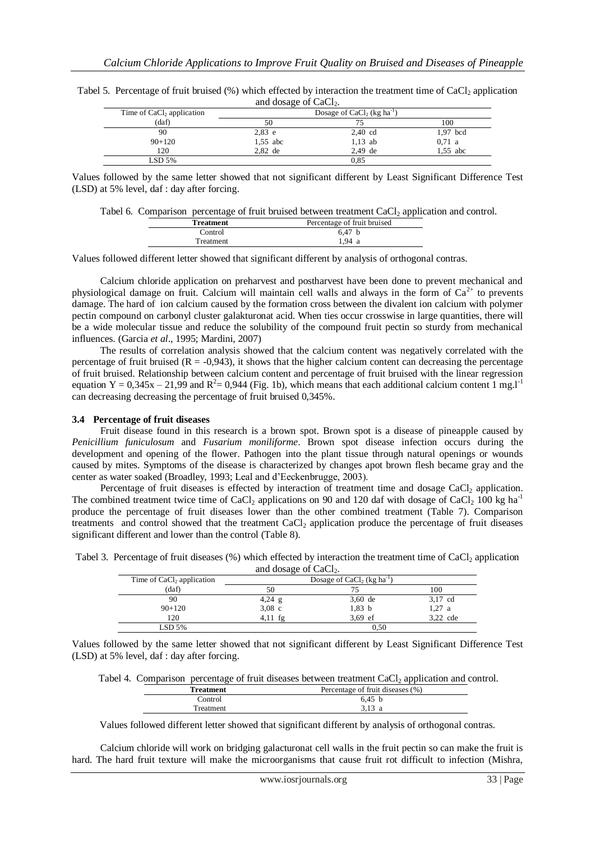| Time of CaCl <sub>2</sub> application |            | Dosage of CaCl <sub>2</sub> (kg ha <sup>-1</sup> ) |            |
|---------------------------------------|------------|----------------------------------------------------|------------|
| (daf)                                 | 50         |                                                    | 100        |
| 90                                    | $2,83$ e   | $2,40$ cd                                          | $1.97$ bcd |
| $90+120$                              | $1,55$ abc | $1,13$ ab                                          | 0.71 a     |
| 120                                   | $2.82$ de  | $2.49$ de                                          | $1.55$ abc |
| $LSD$ 5%                              |            | 0.85                                               |            |

Tabel 5. Percentage of fruit bruised  $(\%)$  which effected by interaction the treatment time of CaCl<sub>2</sub> application and dosage of  $CoCl$ 

Values followed by the same letter showed that not significant different by Least Significant Difference Test (LSD) at 5% level, daf : day after forcing.

|  | Tabel 6. Comparison percentage of fruit bruised between treatment CaCl2 application and control. |  |  |
|--|--------------------------------------------------------------------------------------------------|--|--|
|  |                                                                                                  |  |  |

| Treatment | Percentage of fruit bruised |
|-----------|-----------------------------|
| Control   | 6.47 b                      |
| Treatment | 1.94a                       |

Values followed different letter showed that significant different by analysis of orthogonal contras.

Calcium chloride application on preharvest and postharvest have been done to prevent mechanical and physiological damage on fruit. Calcium will maintain cell walls and always in the form of  $Ca^{2+}$  to prevents damage. The hard of ion calcium caused by the formation cross between the divalent ion calcium with polymer pectin compound on carbonyl cluster galakturonat acid. When ties occur crosswise in large quantities, there will be a wide molecular tissue and reduce the solubility of the compound fruit pectin so sturdy from mechanical influences. (Garcia *et al*., 1995; Mardini, 2007)

The results of correlation analysis showed that the calcium content was negatively correlated with the percentage of fruit bruised  $(R = -0.943)$ , it shows that the higher calcium content can decreasing the percentage of fruit bruised. Relationship between calcium content and percentage of fruit bruised with the linear regression equation Y = 0,345x – 21,99 and R<sup>2</sup> = 0,944 (Fig. 1b), which means that each additional calcium content 1 mg.1<sup>-1</sup> can decreasing decreasing the percentage of fruit bruised 0,345%.

#### **3.4 Percentage of fruit diseases**

Fruit disease found in this research is a brown spot. Brown spot is a disease of pineapple caused by *Penicillium funiculosum* and *Fusarium moniliforme*. Brown spot disease infection occurs during the development and opening of the flower. Pathogen into the plant tissue through natural openings or wounds caused by mites. Symptoms of the disease is characterized by changes apot brown flesh became gray and the center as water soaked (Broadley, 1993; Leal and d'Eeckenbrugge, 2003).

Percentage of fruit diseases is effected by interaction of treatment time and dosage CaCl<sub>2</sub> application. The combined treatment twice time of CaCl<sub>2</sub> applications on 90 and 120 daf with dosage of CaCl<sub>2</sub> 100 kg ha<sup>-1</sup> produce the percentage of fruit diseases lower than the other combined treatment (Table 7). Comparison treatments and control showed that the treatment CaCl<sub>2</sub> application produce the percentage of fruit diseases significant different and lower than the control (Table 8).

|  | Tabel 3. Percentage of fruit diseases (%) which effected by interaction the treatment time of CaCl <sub>2</sub> application |  |
|--|-----------------------------------------------------------------------------------------------------------------------------|--|
|  | and dosage of CaCl <sub>2</sub> .                                                                                           |  |
|  |                                                                                                                             |  |

| Time of $CaCl2$ application | Dosage of CaCl <sub>2</sub> (kg ha <sup>-1</sup> ) |           |          |
|-----------------------------|----------------------------------------------------|-----------|----------|
| (daf)                       | 50                                                 |           | 100      |
| 90                          | $4,24$ g                                           | $3,60$ de | 3,17 cd  |
| $90+120$                    | $3.08$ c                                           | $1,83$ b  | $1,27$ a |
| 120                         | $4.11$ fg                                          | $3.69$ ef | 3.22 cde |
| LSD 5%                      |                                                    | 0.50      |          |

Values followed by the same letter showed that not significant different by Least Significant Difference Test (LSD) at 5% level, daf : day after forcing.

Tabel 4. Comparison percentage of fruit diseases between treatment CaCl<sub>2</sub> application and control.

| <b>Treatment</b> | Percentage of fruit diseases (%) |  |
|------------------|----------------------------------|--|
| Control          | 6.45 <sub>b</sub>                |  |
| <b>Treatment</b> | 3.13 a                           |  |

Values followed different letter showed that significant different by analysis of orthogonal contras.

Calcium chloride will work on bridging galacturonat cell walls in the fruit pectin so can make the fruit is hard. The hard fruit texture will make the microorganisms that cause fruit rot difficult to infection (Mishra,